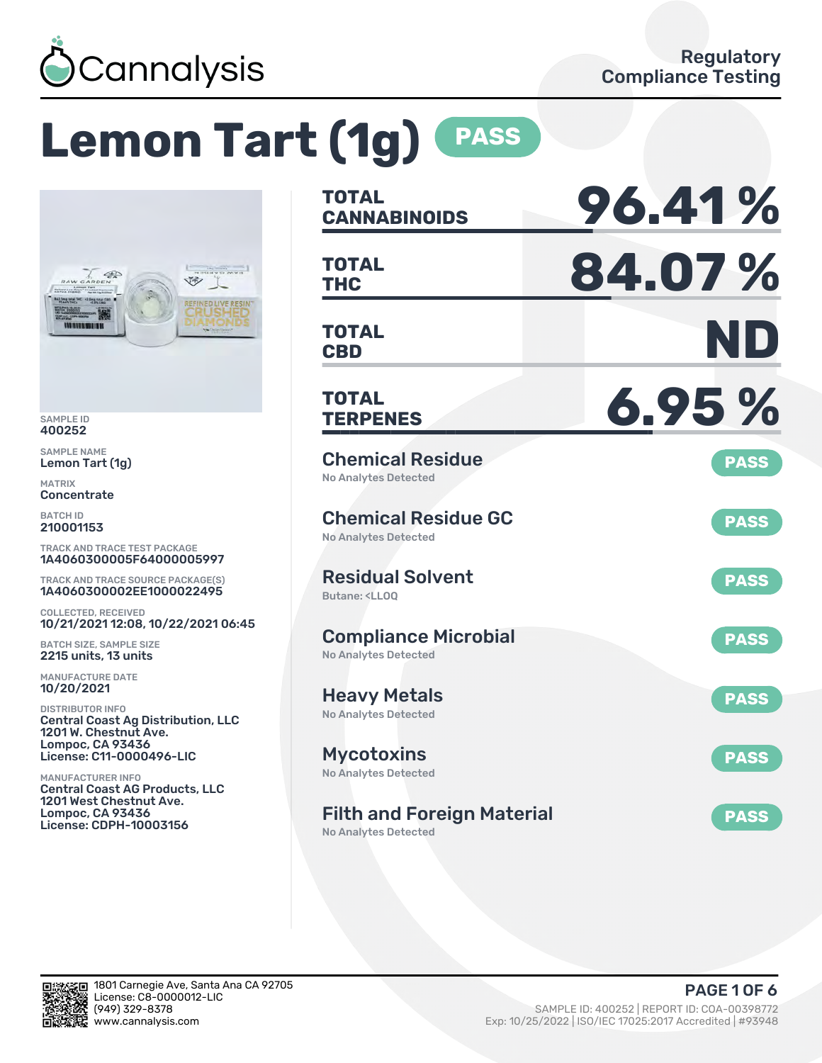

# **Lemon Tart (1g) PASS**



SAMPLE ID 400252

SAMPLE NAME Lemon Tart (1g)

MATRIX **Concentrate** 

BATCH ID 210001153

TRACK AND TRACE TEST PACKAGE 1A4060300005F64000005997

TRACK AND TRACE SOURCE PACKAGE(S) 1A4060300002EE1000022495

COLLECTED, RECEIVED 10/21/2021 12:08, 10/22/2021 06:45

BATCH SIZE, SAMPLE SIZE 2215 units, 13 units

MANUFACTURE DATE 10/20/2021

DISTRIBUTOR INFO Central Coast Ag Distribution, LLC 1201 W. Chestnut Ave. Lompoc, CA 93436 License: C11-0000496-LIC

MANUFACTURER INFO Central Coast AG Products, LLC 1201 West Chestnut Ave. Lompoc, CA 93436 License: CDPH-10003156

| <b>TOTAL</b><br><b>CANNABINOIDS</b>                                          | 96.41%      |
|------------------------------------------------------------------------------|-------------|
| <b>TOTAL</b><br><b>THC</b>                                                   | 84.07%      |
| TOTAL<br><b>CBD</b>                                                          | ND          |
| TOTAL<br><b>TERPENES</b>                                                     | 6.95%       |
| <b>Chemical Residue</b><br><b>No Analytes Detected</b>                       | <b>PASS</b> |
| <b>Chemical Residue GC</b><br><b>No Analytes Detected</b>                    | <b>PASS</b> |
| <b>Residual Solvent</b><br>Butane: <ll00< td=""><td><b>PASS</b></td></ll00<> | <b>PASS</b> |
| <b>Compliance Microbial</b><br><b>No Analytes Detected</b>                   | <b>PASS</b> |
| <b>Heavy Metals</b><br><b>No Analytes Detected</b>                           | <b>PASS</b> |
| <b>Mycotoxins</b><br>No Analytes Detected                                    | <b>PASS</b> |
| <b>Filth and Foreign Material</b>                                            | <b>PASS</b> |

No Analytes Detected

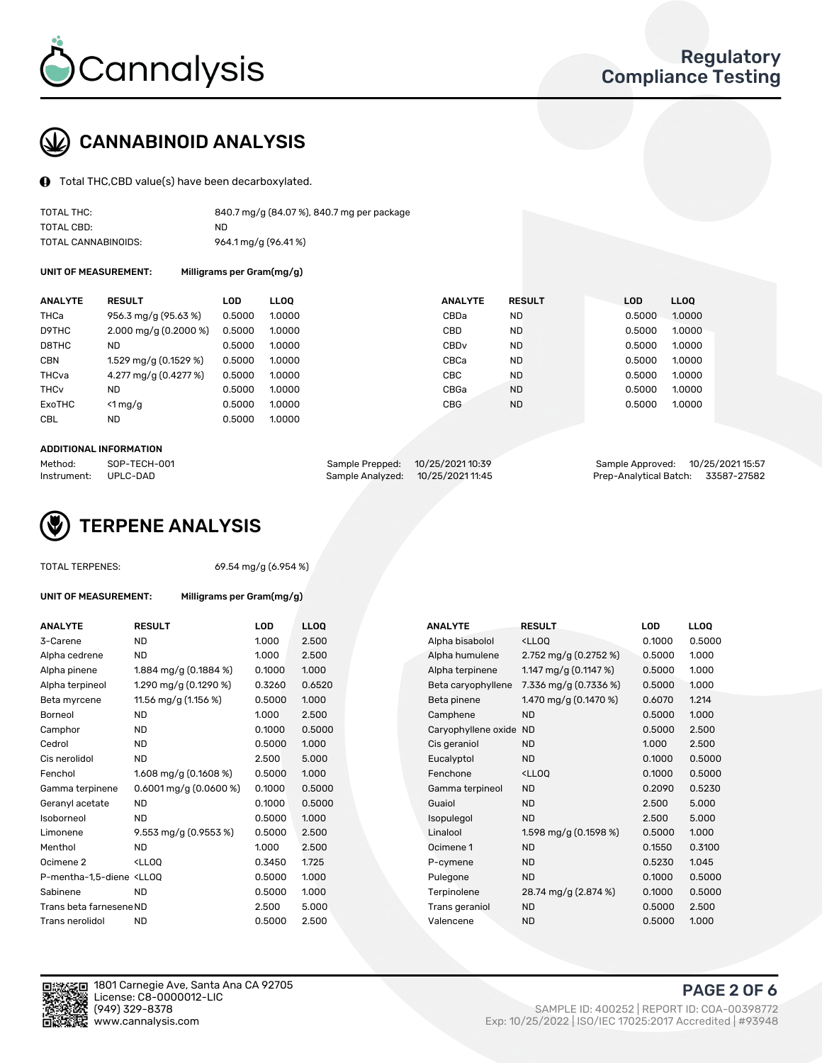

## CANNABINOID ANALYSIS

Total THC,CBD value(s) have been decarboxylated.

| TOTAL THC:          | 840.7 mg/g (84.07%), 840.7 mg per package |
|---------------------|-------------------------------------------|
| TOTAL CBD:          | ND.                                       |
| TOTAL CANNABINOIDS: | 964.1 mg/g (96.41%)                       |

UNIT OF MEASUREMENT: Milligrams per Gram(mg/g)

| <b>ANALYTE</b>         | <b>RESULT</b>                       | LOD    | <b>LLOO</b> | <b>ANALYTE</b>   | <b>RESULT</b> | <b>LOD</b> | <b>LLOO</b> |
|------------------------|-------------------------------------|--------|-------------|------------------|---------------|------------|-------------|
| THCa                   | 956.3 mg/g (95.63 %)                | 0.5000 | 1.0000      | CBDa             | <b>ND</b>     | 0.5000     | 1.0000      |
| D9THC                  | $2.000 \,\mathrm{mag/g}$ (0.2000 %) | 0.5000 | 1.0000      | <b>CBD</b>       | <b>ND</b>     | 0.5000     | 1.0000      |
| D8THC                  | <b>ND</b>                           | 0.5000 | 1.0000      | CBD <sub>v</sub> | <b>ND</b>     | 0.5000     | 1.0000      |
| <b>CBN</b>             | 1.529 mg/g (0.1529 %)               | 0.5000 | 1.0000      | CBCa             | <b>ND</b>     | 0.5000     | 1.0000      |
| THCva                  | 4.277 mg/g (0.4277 %)               | 0.5000 | 1.0000      | CBC.             | <b>ND</b>     | 0.5000     | 1.0000      |
| <b>THC<sub>v</sub></b> | <b>ND</b>                           | 0.5000 | 1.0000      | CBGa             | <b>ND</b>     | 0.5000     | 1.0000      |
| ExoTHC                 | $<$ 1 mg/g                          | 0.5000 | 1.0000      | <b>CBG</b>       | <b>ND</b>     | 0.5000     | 1.0000      |
| <b>CBL</b>             | ND                                  | 0.5000 | 1.0000      |                  |               |            |             |

#### ADDITIONAL INFORMATION

| Method:     | SOP-TECH-001 | Sample Prepped: 10/25/2021 10:39  | Sample Approved: 10/25/2021 15:57  |  |
|-------------|--------------|-----------------------------------|------------------------------------|--|
| Instrument: | UPLC-DAD     | Sample Analyzed: 10/25/2021 11:45 | Prep-Analytical Batch: 33587-27582 |  |



TOTAL TERPENES: 69.54 mg/g (6.954 %)

| <b>ANALYTE</b>                                                                                                                                 | <b>RESULT</b>                                                                                                      | <b>LOD</b> | <b>LLOQ</b> | <b>ANALYTE</b>         | <b>RESULT</b>                                      | LOD    | <b>LLOQ</b> |
|------------------------------------------------------------------------------------------------------------------------------------------------|--------------------------------------------------------------------------------------------------------------------|------------|-------------|------------------------|----------------------------------------------------|--------|-------------|
| 3-Carene                                                                                                                                       | <b>ND</b>                                                                                                          | 1.000      | 2.500       | Alpha bisabolol        | <lloq< td=""><td>0.1000</td><td>0.500</td></lloq<> | 0.1000 | 0.500       |
| Alpha cedrene                                                                                                                                  | <b>ND</b>                                                                                                          | 1.000      | 2.500       | Alpha humulene         | 2.752 mg/g $(0.2752 \%)$                           | 0.5000 | 1.000       |
| Alpha pinene                                                                                                                                   | 1.884 mg/g (0.1884 %)                                                                                              | 0.1000     | 1.000       | Alpha terpinene        | 1.147 mg/g $(0.1147%)$                             | 0.5000 | 1.000       |
| Alpha terpineol                                                                                                                                | 1.290 mg/g (0.1290 %)                                                                                              | 0.3260     | 0.6520      | Beta caryophyllene     | 7.336 mg/g (0.7336 %)                              | 0.5000 | 1.000       |
| Beta myrcene                                                                                                                                   | 11.56 mg/g (1.156 %)                                                                                               | 0.5000     | 1.000       | Beta pinene            | 1.470 mg/g $(0.1470\%)$                            | 0.6070 | 1.214       |
| Borneol                                                                                                                                        | <b>ND</b>                                                                                                          | 1.000      | 2.500       | Camphene               | <b>ND</b>                                          | 0.5000 | 1.000       |
| Camphor                                                                                                                                        | <b>ND</b>                                                                                                          | 0.1000     | 0.5000      | Caryophyllene oxide ND |                                                    | 0.5000 | 2.500       |
| Cedrol                                                                                                                                         | <b>ND</b>                                                                                                          | 0.5000     | 1.000       | Cis geraniol           | <b>ND</b>                                          | 1.000  | 2.500       |
| Cis nerolidol                                                                                                                                  | <b>ND</b>                                                                                                          | 2.500      | 5.000       | Eucalyptol             | <b>ND</b>                                          | 0.1000 | 0.500       |
| Fenchol                                                                                                                                        | 1.608 mg/g $(0.1608\%)$                                                                                            | 0.5000     | 1.000       | Fenchone               | <lloo< td=""><td>0.1000</td><td>0.500</td></lloo<> | 0.1000 | 0.500       |
| Gamma terpinene                                                                                                                                | 0.6001 mg/g (0.0600 %)                                                                                             | 0.1000     | 0.5000      | Gamma terpineol        | <b>ND</b>                                          | 0.2090 | 0.523       |
| Geranyl acetate                                                                                                                                | <b>ND</b>                                                                                                          | 0.1000     | 0.5000      | Guaiol                 | <b>ND</b>                                          | 2.500  | 5.000       |
| Isoborneol                                                                                                                                     | <b>ND</b>                                                                                                          | 0.5000     | 1.000       | Isopulegol             | <b>ND</b>                                          | 2.500  | 5.000       |
| Limonene                                                                                                                                       | 9.553 mg/g (0.9553 %)                                                                                              | 0.5000     | 2.500       | Linalool               | 1.598 mg/g $(0.1598\%)$                            | 0.5000 | 1.000       |
| Menthol                                                                                                                                        | <b>ND</b>                                                                                                          | 1.000      | 2.500       | Ocimene 1              | <b>ND</b>                                          | 0.1550 | 0.310       |
| Ocimene 2                                                                                                                                      | <lloq< td=""><td>0.3450</td><td>1.725</td><td>P-cymene</td><td><b>ND</b></td><td>0.5230</td><td>1.045</td></lloq<> | 0.3450     | 1.725       | P-cymene               | <b>ND</b>                                          | 0.5230 | 1.045       |
| P-mentha-1,5-diene <lloq< td=""><td></td><td>0.5000</td><td>1.000</td><td>Pulegone</td><td><b>ND</b></td><td>0.1000</td><td>0.500</td></lloq<> |                                                                                                                    | 0.5000     | 1.000       | Pulegone               | <b>ND</b>                                          | 0.1000 | 0.500       |
| Sabinene                                                                                                                                       | <b>ND</b>                                                                                                          | 0.5000     | 1.000       | Terpinolene            | 28.74 mg/g (2.874 %)                               | 0.1000 | 0.500       |
| Trans beta farnesene ND                                                                                                                        |                                                                                                                    | 2.500      | 5.000       | Trans geraniol         | <b>ND</b>                                          | 0.5000 | 2.500       |
| Trans nerolidol                                                                                                                                | <b>ND</b>                                                                                                          | 0.5000     | 2.500       | Valencene              | <b>ND</b>                                          | 0.5000 | 1.000       |

UNIT OF MEASUREMENT: Milligrams per Gram(mg/g)

| <b>ANALYTE</b>                                                                                                                                  | <b>RESULT</b>                                                                                                      | <b>LOD</b> | <b>LLOQ</b> | <b>ANALYTE</b>         | <b>RESULT</b>                                       | LOD    | <b>LLOQ</b> |
|-------------------------------------------------------------------------------------------------------------------------------------------------|--------------------------------------------------------------------------------------------------------------------|------------|-------------|------------------------|-----------------------------------------------------|--------|-------------|
| 3-Carene                                                                                                                                        | <b>ND</b>                                                                                                          | 1.000      | 2.500       | Alpha bisabolol        | <lloq< td=""><td>0.1000</td><td>0.5000</td></lloq<> | 0.1000 | 0.5000      |
| Alpha cedrene                                                                                                                                   | <b>ND</b>                                                                                                          | 1.000      | 2.500       | Alpha humulene         | 2.752 mg/g $(0.2752 \%)$                            | 0.5000 | 1.000       |
| Alpha pinene                                                                                                                                    | 1.884 mg/g $(0.1884\%)$                                                                                            | 0.1000     | 1.000       | Alpha terpinene        | 1.147 mg/g $(0.1147%)$                              | 0.5000 | 1.000       |
| Alpha terpineol                                                                                                                                 | 1.290 mg/g (0.1290 %)                                                                                              | 0.3260     | 0.6520      | Beta caryophyllene     | 7.336 mg/g (0.7336 %)                               | 0.5000 | 1.000       |
| Beta myrcene                                                                                                                                    | 11.56 mg/g (1.156 %)                                                                                               | 0.5000     | 1.000       | Beta pinene            | 1.470 mg/g (0.1470 %)                               | 0.6070 | 1.214       |
| Borneol                                                                                                                                         | <b>ND</b>                                                                                                          | 1.000      | 2.500       | Camphene               | <b>ND</b>                                           | 0.5000 | 1.000       |
| Camphor                                                                                                                                         | <b>ND</b>                                                                                                          | 0.1000     | 0.5000      | Caryophyllene oxide ND |                                                     | 0.5000 | 2.500       |
| Cedrol                                                                                                                                          | <b>ND</b>                                                                                                          | 0.5000     | 1.000       | Cis geraniol           | <b>ND</b>                                           | 1.000  | 2.500       |
| Cis nerolidol                                                                                                                                   | <b>ND</b>                                                                                                          | 2.500      | 5.000       | Eucalyptol             | <b>ND</b>                                           | 0.1000 | 0.5000      |
| Fenchol                                                                                                                                         | 1.608 mg/g $(0.1608\%)$                                                                                            | 0.5000     | 1.000       | Fenchone               | <lloq< td=""><td>0.1000</td><td>0.5000</td></lloq<> | 0.1000 | 0.5000      |
| Gamma terpinene                                                                                                                                 | $0.6001$ mg/g $(0.0600\%)$                                                                                         | 0.1000     | 0.5000      | Gamma terpineol        | <b>ND</b>                                           | 0.2090 | 0.5230      |
| Geranyl acetate                                                                                                                                 | ND.                                                                                                                | 0.1000     | 0.5000      | Guaiol                 | <b>ND</b>                                           | 2.500  | 5.000       |
| Isoborneol                                                                                                                                      | <b>ND</b>                                                                                                          | 0.5000     | 1.000       | Isopulegol             | <b>ND</b>                                           | 2.500  | 5.000       |
| Limonene                                                                                                                                        | 9.553 mg/g (0.9553 %)                                                                                              | 0.5000     | 2.500       | Linalool               | 1.598 mg/g (0.1598 %)                               | 0.5000 | 1.000       |
| Menthol                                                                                                                                         | <b>ND</b>                                                                                                          | 1.000      | 2.500       | Ocimene 1              | <b>ND</b>                                           | 0.1550 | 0.3100      |
| Ocimene 2                                                                                                                                       | <lloq< td=""><td>0.3450</td><td>1.725</td><td>P-cymene</td><td><b>ND</b></td><td>0.5230</td><td>1.045</td></lloq<> | 0.3450     | 1.725       | P-cymene               | <b>ND</b>                                           | 0.5230 | 1.045       |
| P-mentha-1,5-diene <lloq< td=""><td></td><td>0.5000</td><td>1.000</td><td>Pulegone</td><td><b>ND</b></td><td>0.1000</td><td>0.5000</td></lloq<> |                                                                                                                    | 0.5000     | 1.000       | Pulegone               | <b>ND</b>                                           | 0.1000 | 0.5000      |
| Sabinene                                                                                                                                        | <b>ND</b>                                                                                                          | 0.5000     | 1.000       | Terpinolene            | 28.74 mg/g (2.874 %)                                | 0.1000 | 0.5000      |
| Trans beta farnesene ND                                                                                                                         |                                                                                                                    | 2.500      | 5.000       | Trans geraniol         | <b>ND</b>                                           | 0.5000 | 2.500       |
| Trans nerolidol                                                                                                                                 | <b>ND</b>                                                                                                          | 0.5000     | 2.500       | Valencene              | <b>ND</b>                                           | 0.5000 | 1.000       |

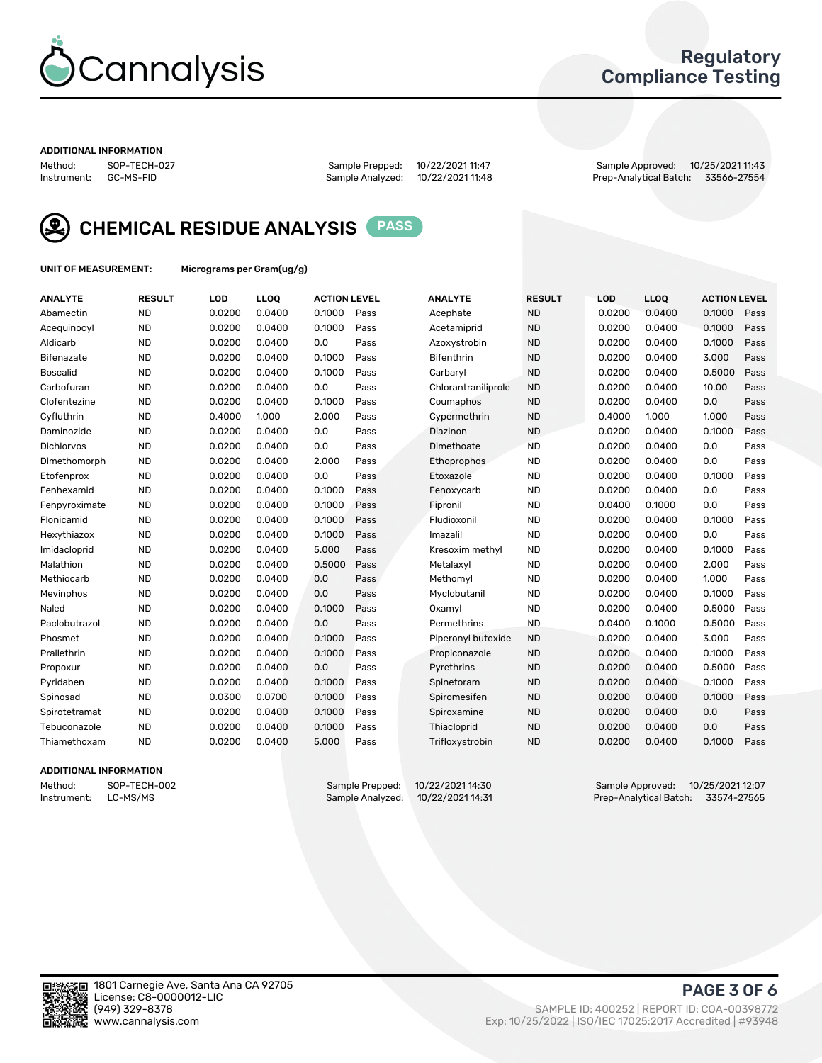

### Regulatory Compliance Testing

#### ADDITIONAL INFORMATION

Method: SOP-TECH-027 Sample Prepped: 10/22/2021 11:47 Sample Approved: 10/25/2021 11:43 Prep-Analytical Batch: 33566-27554



CHEMICAL RESIDUE ANALYSIS PASS

UNIT OF MEASUREMENT: Micrograms per Gram(ug/g)

| <b>ANALYTE</b>    | <b>RESULT</b> | LOD    | <b>LLOQ</b> | <b>ACTION LEVEL</b> |      | <b>ANALYTE</b>      | <b>RESULT</b> | LOD    | <b>LLOQ</b> | <b>ACTION LEVEL</b> |      |
|-------------------|---------------|--------|-------------|---------------------|------|---------------------|---------------|--------|-------------|---------------------|------|
| Abamectin         | <b>ND</b>     | 0.0200 | 0.0400      | 0.1000              | Pass | Acephate            | <b>ND</b>     | 0.0200 | 0.0400      | 0.1000              | Pass |
| Acequinocyl       | <b>ND</b>     | 0.0200 | 0.0400      | 0.1000              | Pass | Acetamiprid         | <b>ND</b>     | 0.0200 | 0.0400      | 0.1000              | Pass |
| Aldicarb          | <b>ND</b>     | 0.0200 | 0.0400      | 0.0                 | Pass | Azoxystrobin        | <b>ND</b>     | 0.0200 | 0.0400      | 0.1000              | Pass |
| Bifenazate        | <b>ND</b>     | 0.0200 | 0.0400      | 0.1000              | Pass | <b>Bifenthrin</b>   | <b>ND</b>     | 0.0200 | 0.0400      | 3.000               | Pass |
| <b>Boscalid</b>   | <b>ND</b>     | 0.0200 | 0.0400      | 0.1000              | Pass | Carbarvl            | <b>ND</b>     | 0.0200 | 0.0400      | 0.5000              | Pass |
| Carbofuran        | <b>ND</b>     | 0.0200 | 0.0400      | 0.0                 | Pass | Chlorantraniliprole | <b>ND</b>     | 0.0200 | 0.0400      | 10.00               | Pass |
| Clofentezine      | <b>ND</b>     | 0.0200 | 0.0400      | 0.1000              | Pass | Coumaphos           | <b>ND</b>     | 0.0200 | 0.0400      | 0.0                 | Pass |
| Cyfluthrin        | <b>ND</b>     | 0.4000 | 1.000       | 2.000               | Pass | Cypermethrin        | <b>ND</b>     | 0.4000 | 1.000       | 1.000               | Pass |
| Daminozide        | <b>ND</b>     | 0.0200 | 0.0400      | 0.0                 | Pass | Diazinon            | <b>ND</b>     | 0.0200 | 0.0400      | 0.1000              | Pass |
| <b>Dichlorvos</b> | <b>ND</b>     | 0.0200 | 0.0400      | 0.0                 | Pass | Dimethoate          | <b>ND</b>     | 0.0200 | 0.0400      | 0.0                 | Pass |
| Dimethomorph      | <b>ND</b>     | 0.0200 | 0.0400      | 2.000               | Pass | <b>Ethoprophos</b>  | <b>ND</b>     | 0.0200 | 0.0400      | 0.0                 | Pass |
| Etofenprox        | <b>ND</b>     | 0.0200 | 0.0400      | 0.0                 | Pass | Etoxazole           | <b>ND</b>     | 0.0200 | 0.0400      | 0.1000              | Pass |
| Fenhexamid        | <b>ND</b>     | 0.0200 | 0.0400      | 0.1000              | Pass | Fenoxycarb          | <b>ND</b>     | 0.0200 | 0.0400      | 0.0                 | Pass |
| Fenpyroximate     | <b>ND</b>     | 0.0200 | 0.0400      | 0.1000              | Pass | Fipronil            | <b>ND</b>     | 0.0400 | 0.1000      | 0.0                 | Pass |
| Flonicamid        | <b>ND</b>     | 0.0200 | 0.0400      | 0.1000              | Pass | Fludioxonil         | <b>ND</b>     | 0.0200 | 0.0400      | 0.1000              | Pass |
| Hexythiazox       | <b>ND</b>     | 0.0200 | 0.0400      | 0.1000              | Pass | Imazalil            | <b>ND</b>     | 0.0200 | 0.0400      | 0.0                 | Pass |
| Imidacloprid      | <b>ND</b>     | 0.0200 | 0.0400      | 5.000               | Pass | Kresoxim methyl     | <b>ND</b>     | 0.0200 | 0.0400      | 0.1000              | Pass |
| Malathion         | <b>ND</b>     | 0.0200 | 0.0400      | 0.5000              | Pass | Metalaxyl           | <b>ND</b>     | 0.0200 | 0.0400      | 2.000               | Pass |
| Methiocarb        | <b>ND</b>     | 0.0200 | 0.0400      | 0.0                 | Pass | Methomyl            | <b>ND</b>     | 0.0200 | 0.0400      | 1.000               | Pass |
| Mevinphos         | <b>ND</b>     | 0.0200 | 0.0400      | 0.0                 | Pass | Myclobutanil        | <b>ND</b>     | 0.0200 | 0.0400      | 0.1000              | Pass |
| Naled             | <b>ND</b>     | 0.0200 | 0.0400      | 0.1000              | Pass | Oxamyl              | <b>ND</b>     | 0.0200 | 0.0400      | 0.5000              | Pass |
| Paclobutrazol     | <b>ND</b>     | 0.0200 | 0.0400      | 0.0                 | Pass | Permethrins         | <b>ND</b>     | 0.0400 | 0.1000      | 0.5000              | Pass |
| Phosmet           | <b>ND</b>     | 0.0200 | 0.0400      | 0.1000              | Pass | Piperonyl butoxide  | <b>ND</b>     | 0.0200 | 0.0400      | 3.000               | Pass |
| Prallethrin       | <b>ND</b>     | 0.0200 | 0.0400      | 0.1000              | Pass | Propiconazole       | <b>ND</b>     | 0.0200 | 0.0400      | 0.1000              | Pass |
| Propoxur          | <b>ND</b>     | 0.0200 | 0.0400      | 0.0                 | Pass | Pyrethrins          | <b>ND</b>     | 0.0200 | 0.0400      | 0.5000              | Pass |
| Pyridaben         | <b>ND</b>     | 0.0200 | 0.0400      | 0.1000              | Pass | Spinetoram          | <b>ND</b>     | 0.0200 | 0.0400      | 0.1000              | Pass |
| Spinosad          | <b>ND</b>     | 0.0300 | 0.0700      | 0.1000              | Pass | Spiromesifen        | <b>ND</b>     | 0.0200 | 0.0400      | 0.1000              | Pass |
| Spirotetramat     | <b>ND</b>     | 0.0200 | 0.0400      | 0.1000              | Pass | Spiroxamine         | <b>ND</b>     | 0.0200 | 0.0400      | 0.0                 | Pass |
| Tebuconazole      | <b>ND</b>     | 0.0200 | 0.0400      | 0.1000              | Pass | Thiacloprid         | <b>ND</b>     | 0.0200 | 0.0400      | 0.0                 | Pass |
| Thiamethoxam      | <b>ND</b>     | 0.0200 | 0.0400      | 5.000               | Pass | Trifloxystrobin     | <b>ND</b>     | 0.0200 | 0.0400      | 0.1000              | Pass |
|                   |               |        |             |                     |      |                     |               |        |             |                     |      |

### ADDITIONAL INFORMATION

Method: SOP-TECH-002 Sample Prepped: 10/22/2021 14:30 Sample Approved: 10/25/2021 12:07 Prep-Analytical Batch: 33574-27565

PAGE 3 OF 6

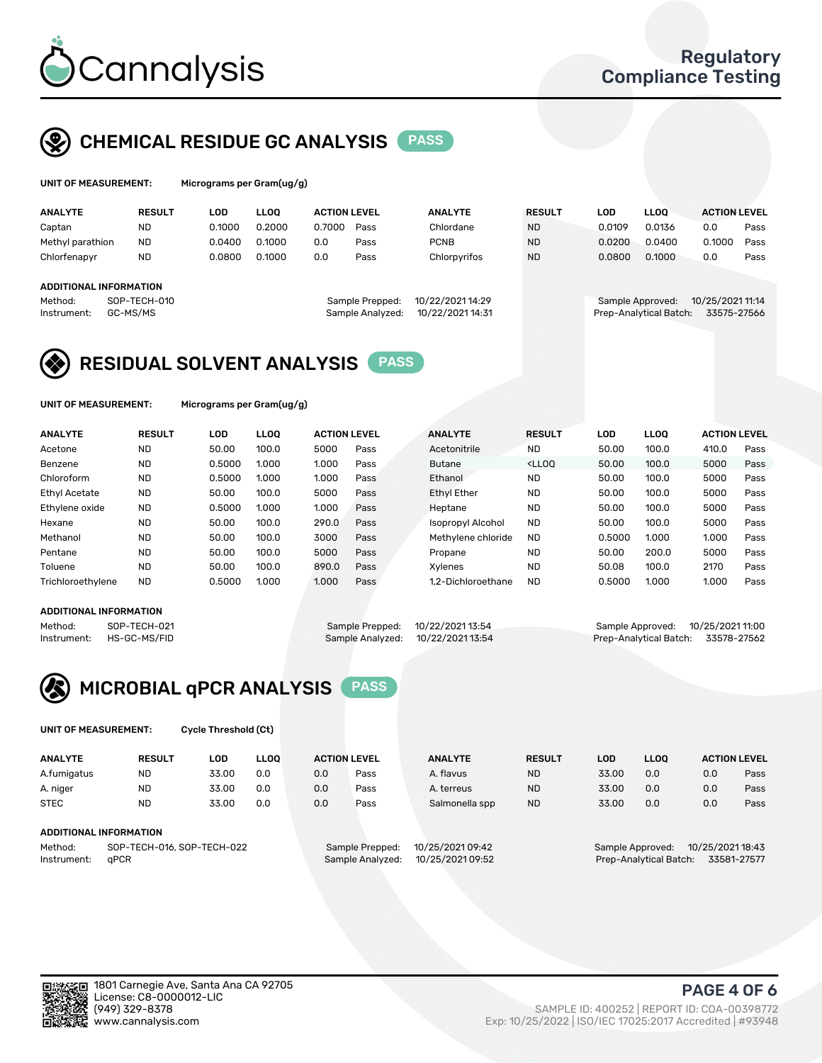

### CHEMICAL RESIDUE GC ANALYSIS PASS

| UNIT OF MEASUREMENT: |               | Micrograms per Gram $(uq/q)$ |             |                     |      |                |               |        |             |                     |      |
|----------------------|---------------|------------------------------|-------------|---------------------|------|----------------|---------------|--------|-------------|---------------------|------|
| <b>ANALYTE</b>       | <b>RESULT</b> | LOD                          | <b>LLOO</b> | <b>ACTION LEVEL</b> |      | <b>ANALYTE</b> | <b>RESULT</b> | LOD    | <b>LLOO</b> | <b>ACTION LEVEL</b> |      |
| Captan               | <b>ND</b>     | 0.1000                       | 0.2000      | 0.7000              | Pass | Chlordane      | <b>ND</b>     | 0.0109 | 0.0136      | 0.0                 | Pass |
| Methyl parathion     | <b>ND</b>     | 0.0400                       | 0.1000      | 0.0                 | Pass | <b>PCNB</b>    | <b>ND</b>     | 0.0200 | 0.0400      | 0.1000              | Pass |
| Chlorfenapyr         | <b>ND</b>     | 0.0800                       | 0.1000      | 0.0                 | Pass | Chlorpyrifos   | <b>ND</b>     | 0.0800 | 0.1000      | 0.0                 | Pass |

#### ADDITIONAL INFORMATION

Instrument: GC-MS/MS Sample Analyzed: 10/22/202114:31 Prep-Analytical Batch: 33575-27566

| repped:  | 10/22/2021 14:29 |  |
|----------|------------------|--|
| nalyzed: | 10/22/2021 14:31 |  |
|          |                  |  |

### Method: SOP-TECH-010 Sample Prepped: 10/22/2021 14:29 Sample Approved: 10/25/2021 11:14

### RESIDUAL SOLVENT ANALYSIS **PASS**

UNIT OF MEASUREMENT: Micrograms per Gram(ug/g)

| <b>ANALYTE</b>       | <b>RESULT</b> | LOD    | <b>LLOO</b> | <b>ACTION LEVEL</b> |      | <b>ANALYTE</b>           | <b>RESULT</b>                                                               | <b>LOD</b> | LLOO  | <b>ACTION LEVEL</b> |      |
|----------------------|---------------|--------|-------------|---------------------|------|--------------------------|-----------------------------------------------------------------------------|------------|-------|---------------------|------|
| Acetone              | <b>ND</b>     | 50.00  | 100.0       | 5000                | Pass | Acetonitrile             | <b>ND</b>                                                                   | 50.00      | 100.0 | 410.0               | Pass |
| Benzene              | <b>ND</b>     | 0.5000 | 1.000       | 1.000               | Pass | <b>Butane</b>            | <lloo< td=""><td>50.00</td><td>100.0</td><td>5000</td><td>Pass</td></lloo<> | 50.00      | 100.0 | 5000                | Pass |
| Chloroform           | <b>ND</b>     | 0.5000 | 1.000       | 1.000               | Pass | Ethanol                  | <b>ND</b>                                                                   | 50.00      | 100.0 | 5000                | Pass |
| <b>Ethyl Acetate</b> | <b>ND</b>     | 50.00  | 100.0       | 5000                | Pass | <b>Ethyl Ether</b>       | <b>ND</b>                                                                   | 50.00      | 100.0 | 5000                | Pass |
| Ethylene oxide       | <b>ND</b>     | 0.5000 | 1.000       | 1.000               | Pass | Heptane                  | <b>ND</b>                                                                   | 50.00      | 100.0 | 5000                | Pass |
| Hexane               | <b>ND</b>     | 50.00  | 100.0       | 290.0               | Pass | <b>Isopropyl Alcohol</b> | <b>ND</b>                                                                   | 50.00      | 100.0 | 5000                | Pass |
| Methanol             | <b>ND</b>     | 50.00  | 100.0       | 3000                | Pass | Methylene chloride       | <b>ND</b>                                                                   | 0.5000     | 1.000 | 1.000               | Pass |
| Pentane              | <b>ND</b>     | 50.00  | 100.0       | 5000                | Pass | Propane                  | <b>ND</b>                                                                   | 50.00      | 200.0 | 5000                | Pass |
| Toluene              | <b>ND</b>     | 50.00  | 100.0       | 890.0               | Pass | Xylenes                  | <b>ND</b>                                                                   | 50.08      | 100.0 | 2170                | Pass |
| Trichloroethylene    | <b>ND</b>     | 0.5000 | 1.000       | 1.000               | Pass | 1.2-Dichloroethane       | <b>ND</b>                                                                   | 0.5000     | 1.000 | 1.000               | Pass |

### ADDITIONAL INFORMATION

Method: SOP-TECH-021 Sample Prepped: 10/22/2021 13:54 Sample Approved: 10/25/2021 11:00<br>Sample Analyzed: 10/22/2021 13:54 Prep-Analytical Batch: 33578-27562

Prep-Analytical Batch: 33578-27562



UNIT OF MEASUREMENT: Cycle Threshold (Ct)

| <b>ANALYTE</b>                        | <b>RESULT</b> | LOD   | <b>LLOO</b> |                 | <b>ACTION LEVEL</b> | <b>ANALYTE</b> | <b>RESULT</b> | LOD              | LL <sub>00</sub> |     | <b>ACTION LEVEL</b> |
|---------------------------------------|---------------|-------|-------------|-----------------|---------------------|----------------|---------------|------------------|------------------|-----|---------------------|
| A.fumigatus                           | ND            | 33.00 | 0.0         | 0.0             | Pass                | A. flavus      | <b>ND</b>     | 33.00            | 0.0              | 0.0 | Pass                |
| A. niger                              | <b>ND</b>     | 33.00 | 0.0         | 0.0             | Pass                | A. terreus     | <b>ND</b>     | 33.00            | 0.0              | 0.0 | Pass                |
| <b>STEC</b>                           | <b>ND</b>     | 33.00 | 0.0         | 0.0             | Pass                | Salmonella spp | <b>ND</b>     | 33.00            | 0.0              | 0.0 | Pass                |
| ADDITIONAL INFORMATION                |               |       |             |                 |                     |                |               |                  |                  |     |                     |
| SOP-TECH-016, SOP-TECH-022<br>Method: |               |       |             | Sample Prepped: | 10/25/2021 09:42    |                |               | Sample Approved: | 10/25/2021 18:43 |     |                     |

Instrument: qPCR Sample Analyzed: 10/25/2021 09:52 Prep-Analytical Batch: 33581-27577

PAGE 4 OF 6

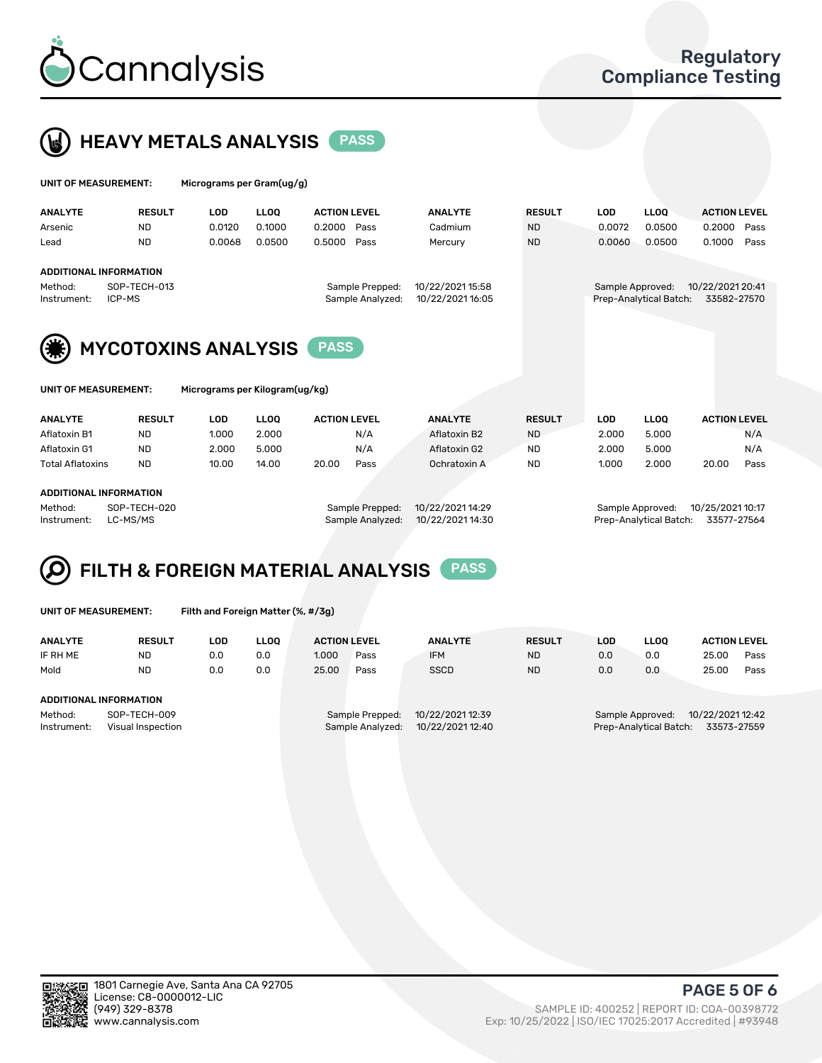



| UNIT OF MEASUREMENT:       |                                                         | Micrograms per Gram(ug/g) |                                |             |                                     |                                      |               |            |                                            |                                 |      |
|----------------------------|---------------------------------------------------------|---------------------------|--------------------------------|-------------|-------------------------------------|--------------------------------------|---------------|------------|--------------------------------------------|---------------------------------|------|
|                            | <b>ANALYTE</b>                                          | <b>RESULT</b>             | <b>LOD</b>                     | <b>LLOO</b> | <b>ACTION LEVEL</b>                 | <b>ANALYTE</b>                       | <b>RESULT</b> | <b>LOD</b> | <b>LLOQ</b>                                | <b>ACTION LEVEL</b>             |      |
|                            | Arsenic                                                 | <b>ND</b>                 | 0.0120                         | 0.1000      | 0.2000<br>Pass                      | Cadmium                              | <b>ND</b>     | 0.0072     | 0.0500                                     | 0.2000                          | Pass |
|                            | Lead                                                    | <b>ND</b>                 | 0.0068                         | 0.0500      | 0.5000<br>Pass                      | Mercury                              | <b>ND</b>     | 0.0060     | 0.0500                                     | 0.1000                          | Pass |
|                            | <b>ADDITIONAL INFORMATION</b><br>Method:<br>Instrument: | SOP-TECH-013<br>ICP-MS    |                                |             | Sample Prepped:<br>Sample Analyzed: | 10/22/2021 15:58<br>10/22/2021 16:05 |               |            | Sample Approved:<br>Prep-Analytical Batch: | 10/22/2021 20:41<br>33582-27570 |      |
| <b>MYCOTOXINS ANALYSIS</b> |                                                         |                           |                                |             | <b>PASS</b>                         |                                      |               |            |                                            |                                 |      |
|                            | UNIT OF MEASUREMENT:                                    |                           | Micrograms per Kilogram(ug/kg) |             |                                     |                                      |               |            |                                            |                                 |      |

| <b>ANALYTE</b>          | <b>RESULT</b> | LOD   | <b>LLOO</b>     | <b>ACTION LEVEL</b> | <b>ANALYTE</b> | <b>RESULT</b>    | LOD   | <b>LLOO</b>      | <b>ACTION LEVEL</b> |      |
|-------------------------|---------------|-------|-----------------|---------------------|----------------|------------------|-------|------------------|---------------------|------|
| Aflatoxin B1            | <b>ND</b>     | 1.000 | 2.000           | N/A                 | Aflatoxin B2   | <b>ND</b>        | 2.000 | 5.000            |                     | N/A  |
| Aflatoxin G1            | ND            | 2.000 | 5.000           | N/A                 | Aflatoxin G2   | <b>ND</b>        | 2.000 | 5.000            |                     | N/A  |
| <b>Total Aflatoxins</b> | <b>ND</b>     | 10.00 | 14.00           | 20.00<br>Pass       | Ochratoxin A   | <b>ND</b>        | 1.000 | 2.000            | 20.00               | Pass |
| ADDITIONAL INFORMATION  |               |       |                 |                     |                |                  |       |                  |                     |      |
| Method:                 | SOP-TECH-020  |       | Sample Prepped: | 10/22/2021 14:29    |                | Sample Approved: |       | 10/25/2021 10:17 |                     |      |

Instrument: LC-MS/MS Sample Analyzed: 10/22/2021 14:30 Prep-Analytical Batch: 33577-27564

#### FILTH & FOREIGN MATERIAL ANALYSIS PASS Q

UNIT OF MEASUREMENT: Filth and Foreign Matter (%, #/3g)

| <b>RESULT</b>                    | LOD                    | <b>LLOO</b> | <b>ACTION LEVEL</b>                  |      | <b>ANALYTE</b> | <b>RESULT</b> | LOD                                   | <b>LLOO</b> | <b>ACTION LEVEL</b> |      |  |
|----------------------------------|------------------------|-------------|--------------------------------------|------|----------------|---------------|---------------------------------------|-------------|---------------------|------|--|
| <b>ND</b>                        | 0.0                    | 0.0         | 1.000                                | Pass | <b>IFM</b>     | <b>ND</b>     | 0.0                                   | 0.0         | 25.00               | Pass |  |
| <b>ND</b>                        | 0.0                    | 0.0         | 25.00                                | Pass | <b>SSCD</b>    | <b>ND</b>     | 0.0                                   | 0.0         | 25.00               | Pass |  |
|                                  |                        |             |                                      |      |                |               |                                       |             |                     |      |  |
|                                  |                        |             |                                      |      |                |               |                                       |             |                     |      |  |
| SOP-TECH-009                     |                        |             | 10/22/2021 12:39<br>Sample Prepped:  |      |                |               | 10/22/2021 12:42<br>Sample Approved:  |             |                     |      |  |
| Instrument:<br>Visual Inspection |                        |             | 10/22/2021 12:40<br>Sample Analyzed: |      |                |               | Prep-Analytical Batch:<br>33573-27559 |             |                     |      |  |
|                                  | ADDITIONAL INFORMATION |             |                                      |      |                |               |                                       |             |                     |      |  |